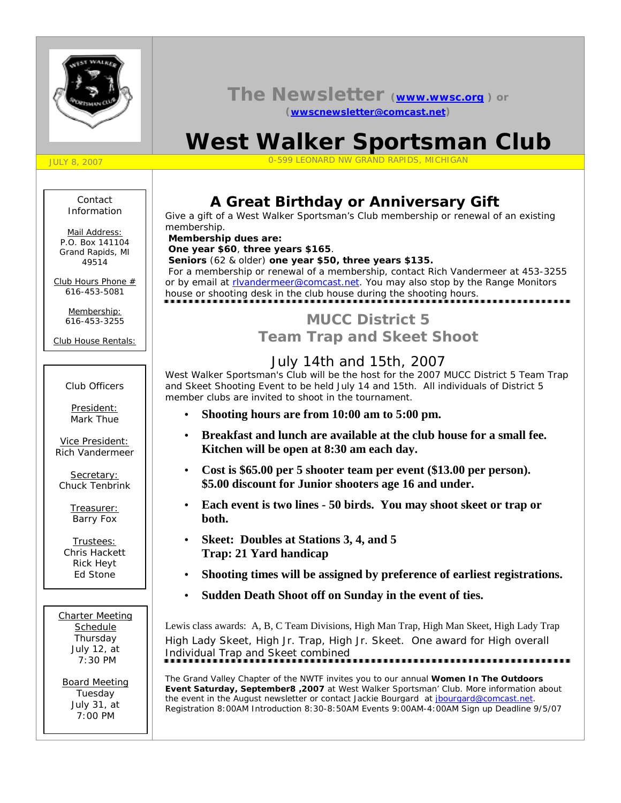

## **The Newsletter (www.wwsc.org ) or (wwscnewsletter@comcast.net)**

# **West Walker Sportsman Club**

JULY 8, 2007 0-599 LEONARD NW GRAND RAPIDS, MICHIGAN

#### Contact Information

Mail Address: *P.O. Box 141104 Grand Rapids, MI 49514*

Club Hours Phone # *616-453-5081*

> Membership: *616-453-3255*

Club House Rentals:

#### Club Officers

President: Mark Thue

Vice President: Rich Vandermeer

Secretary: Chuck Tenbrink

> Treasurer: Barry Fox

Trustees: Chris Hackett Rick Heyt Ed Stone

Charter Meeting Schedule Thursday July 12, at 7:30 PM

Board Meeting Tuesday July 31, at 7:00 PM

# **A Great Birthday or Anniversary Gift**

Give a gift of a West Walker Sportsman's Club membership or renewal of an existing membership.

 **Membership dues are:**

**One year \$60**, **three years \$165**.

**Seniors** (62 & older) **one year \$50, three years \$135.** For a membership or renewal of a membership, contact Rich Vandermeer at 453-3255 or by email at rivandermeer@comcast.net. You may also stop by the Range Monitors house or shooting desk in the club house during the shooting hours.

# **MUCC District 5 Team Trap and Skeet Shoot**

# July 14th and 15th, 2007

West Walker Sportsman's Club will be the host for the 2007 MUCC District 5 Team Trap and Skeet Shooting Event to be held July 14 and 15th. All individuals of District 5 member clubs are invited to shoot in the tournament.

- **Shooting hours are from 10:00 am to 5:00 pm.**
- **Breakfast and lunch are available at the club house for a small fee. Kitchen will be open at 8:30 am each day.**
- **Cost is \$65.00 per 5 shooter team per event (\$13.00 per person). \$5.00 discount for Junior shooters age 16 and under.**
- **Each event is two lines 50 birds. You may shoot skeet or trap or both.**
- **Skeet: Doubles at Stations 3, 4, and 5 Trap: 21 Yard handicap**
- **Shooting times will be assigned by preference of earliest registrations.**
- **Sudden Death Shoot off on Sunday in the event of ties.**

Lewis class awards: A, B, C Team Divisions, High Man Trap, High Man Skeet, High Lady Trap High Lady Skeet, High Jr. Trap, High Jr. Skeet. One award for High overall Individual Trap and Skeet combined

The Grand Valley Chapter of the NWTF invites you to our annual **Women In The Outdoors Event Saturday, September8 ,2007** at West Walker Sportsman' Club. More information about the event in the August newsletter or contact Jackie Bourgard at jbourgard@comcast.net. Registration 8:00AM Introduction 8:30-8:50AM Events 9:00AM-4:00AM Sign up Deadline 9/5/07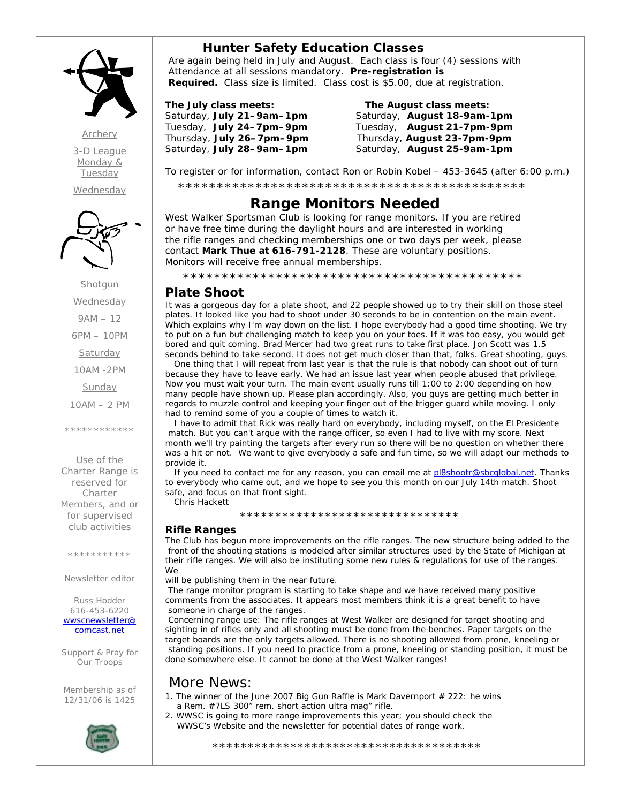

*Archery 3-D League Monday & Tuesday*

*Wednesday*



Shotgun **Wednesday** 9AM – 12 6PM – 10PM Saturday 10AM -2PM Sunday

10AM – 2 PM

\*\*\*\*\*\*\*\*\*\*\*\*

Use of the Charter Range is reserved for Charter

Members, and or for supervised club activities

\*\*\*\*\*\*\*\*\*\*

Newsletter editor

Russ Hodder 616-453-6220 *wwscnewsletter@ comcast.net*

Support & Pray for Our Troops

Membership as of 12/31/06 is 1425



 **Hunter Safety Education Classes** Are again being held in July and August. Each class is four (4) sessions with Attendance at all sessions mandatory. **Pre-registration is Required.** Class size is limited. Class cost is \$5.00, due at registration.

#### **The July class meets: The August class meets:**

Thursday, **July 26–7pm–9pm** Thursday, **August 23-7pm-9pm** Saturday, **July 28–9am–1pm** Saturday, **August 25-9am-1pm**

# Saturday, **July 21–9am–1pm** Saturday, **August 18-9am-1pm** Tuesday, **July 24–7pm–9pm** Tuesday, **August 21-7pm-9pm**

To register or for information, contact Ron or Robin Kobel – 453-3645 (after 6:00 p.m.)

\*\*\*\*\*\*\*\*\*\*\*\*\*\*\*\*\*\*\*\*\*\*\*\*\*\*\*\*\*\*\*\*\*\*\*\*\*\*\*\*\*\*\*\*\*

# **Range Monitors Needed**

West Walker Sportsman Club is looking for range monitors. If you are retired or have free time during the daylight hours and are interested in working the rifle ranges and checking memberships one or two days per week, please contact **Mark Thue at 616-791-2128**. These are voluntary positions. Monitors will receive free annual memberships.

\*\*\*\*\*\*\*\*\*\*\*\*\*\*\*\*\*\*\*\*\*\*\*\*\*\*\*\*\*\*\*\*\*\*\*\*\*\*\*\*\*\*\*\*

## **Plate Shoot**

It was a gorgeous day for a plate shoot, and 22 people showed up to try their skill on those steel plates. It looked like you had to shoot under 30 seconds to be in contention on the main event. Which explains why I'm way down on the list. I hope everybody had a good time shooting. We try to put on a fun but challenging match to keep you on your toes. If it was too easy, you would get bored and quit coming. Brad Mercer had two great runs to take first place. Jon Scott was 1.5 seconds behind to take second. It does not get much closer than that, folks. Great shooting, guys.

 One thing that I will repeat from last year is that the rule is that nobody can shoot out of turn because they have to leave early. We had an issue last year when people abused that privilege. Now you must wait your turn. The main event usually runs till 1:00 to 2:00 depending on how many people have shown up. Please plan accordingly. Also, you guys are getting much better in regards to muzzle control and keeping your finger out of the trigger guard while moving. I only had to remind some of you a couple of times to watch it.

 I have to admit that Rick was really hard on everybody, including myself, on the El Presidente match. But you can't argue with the range officer, so even I had to live with my score. Next month we'll try painting the targets after every run so there will be no question on whether there was a hit or not. We want to give everybody a safe and fun time, so we will adapt our methods to provide it.

If you need to contact me for any reason, you can email me at pl8shootr@sbcglobal.net. Thanks to everybody who came out, and we hope to see you this month on our July 14th match. Shoot safe, and focus on that front sight. Chris Hackett

\*\*\*\*\*\*\*\*\*\*\*\*\*\*\*\*\*\*\*\*\*\*\*\*\*\*\*\*\*\*\*

#### **Rifle Ranges**

The Club has begun more improvements on the rifle ranges. The new structure being added to the front of the shooting stations is modeled after similar structures used by the State of Michigan at their rifle ranges. We will also be instituting some new rules & regulations for use of the ranges. **We** 

will be publishing them in the near future.

 The range monitor program is starting to take shape and we have received many positive comments from the associates. It appears most members think it is a great benefit to have someone in charge of the ranges.

 Concerning range use: The rifle ranges at West Walker are designed for target shooting and sighting in of rifles only and all shooting must be done from the benches. Paper targets on the target boards are the only targets allowed. There is no shooting allowed from prone, kneeling or standing positions. If you need to practice from a prone, kneeling or standing position, it must be done somewhere else. It cannot be done at the West Walker ranges!

### More News:

- 1. The winner of the June 2007 Big Gun Raffle is Mark Davernport # 222: he wins a Rem. #7LS 300" rem. short action ultra mag" rifle.
- 2. WWSC is going to more range improvements this year; you should check the WWSC's Website and the newsletter for potential dates of range work.

\*\*\*\*\*\*\*\*\*\*\*\*\*\*\*\*\*\*\*\*\*\*\*\*\*\*\*\*\*\*\*\*\*\*\*\*\*\*